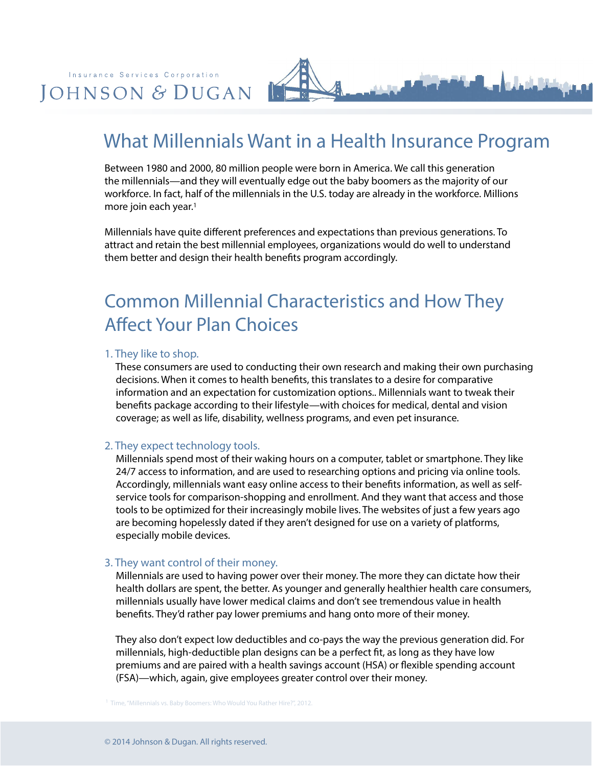

# What Millennials Want in a Health Insurance Program

Between 1980 and 2000, 80 million people were born in America. We call this generation the millennials—and they will eventually edge out the baby boomers as the majority of our workforce. In fact, half of the millennials in the U.S. today are already in the workforce. Millions more join each year.<sup>1</sup>

Millennials have quite different preferences and expectations than previous generations. To attract and retain the best millennial employees, organizations would do well to understand them better and design their health benefits program accordingly.

# Common Millennial Characteristics and How They Affect Your Plan Choices

#### 1. They like to shop.

 These consumers are used to conducting their own research and making their own purchasing decisions. When it comes to health benefits, this translates to a desire for comparative information and an expectation for customization options.. Millennials want to tweak their benefits package according to their lifestyle—with choices for medical, dental and vision coverage; as well as life, disability, wellness programs, and even pet insurance.

#### 2. They expect technology tools.

 Millennials spend most of their waking hours on a computer, tablet or smartphone. They like 24/7 access to information, and are used to researching options and pricing via online tools. Accordingly, millennials want easy online access to their benefits information, as well as self service tools for comparison-shopping and enrollment. And they want that access and those tools to be optimized for their increasingly mobile lives. The websites of just a few years ago are becoming hopelessly dated if they aren't designed for use on a variety of platforms, especially mobile devices.

#### 3. They want control of their money.

 Millennials are used to having power over their money. The more they can dictate how their health dollars are spent, the better. As younger and generally healthier health care consumers, millennials usually have lower medical claims and don't see tremendous value in health benefits. They'd rather pay lower premiums and hang onto more of their money.

 They also don't expect low deductibles and co-pays the way the previous generation did. For millennials, high-deductible plan designs can be a perfect fit, as long as they have low premiums and are paired with a health savings account (HSA) or flexible spending account (FSA)—which, again, give employees greater control over their money.

1 Time, "Millennials vs. Baby Boomers: Who Would You Rather Hire?", 2012.